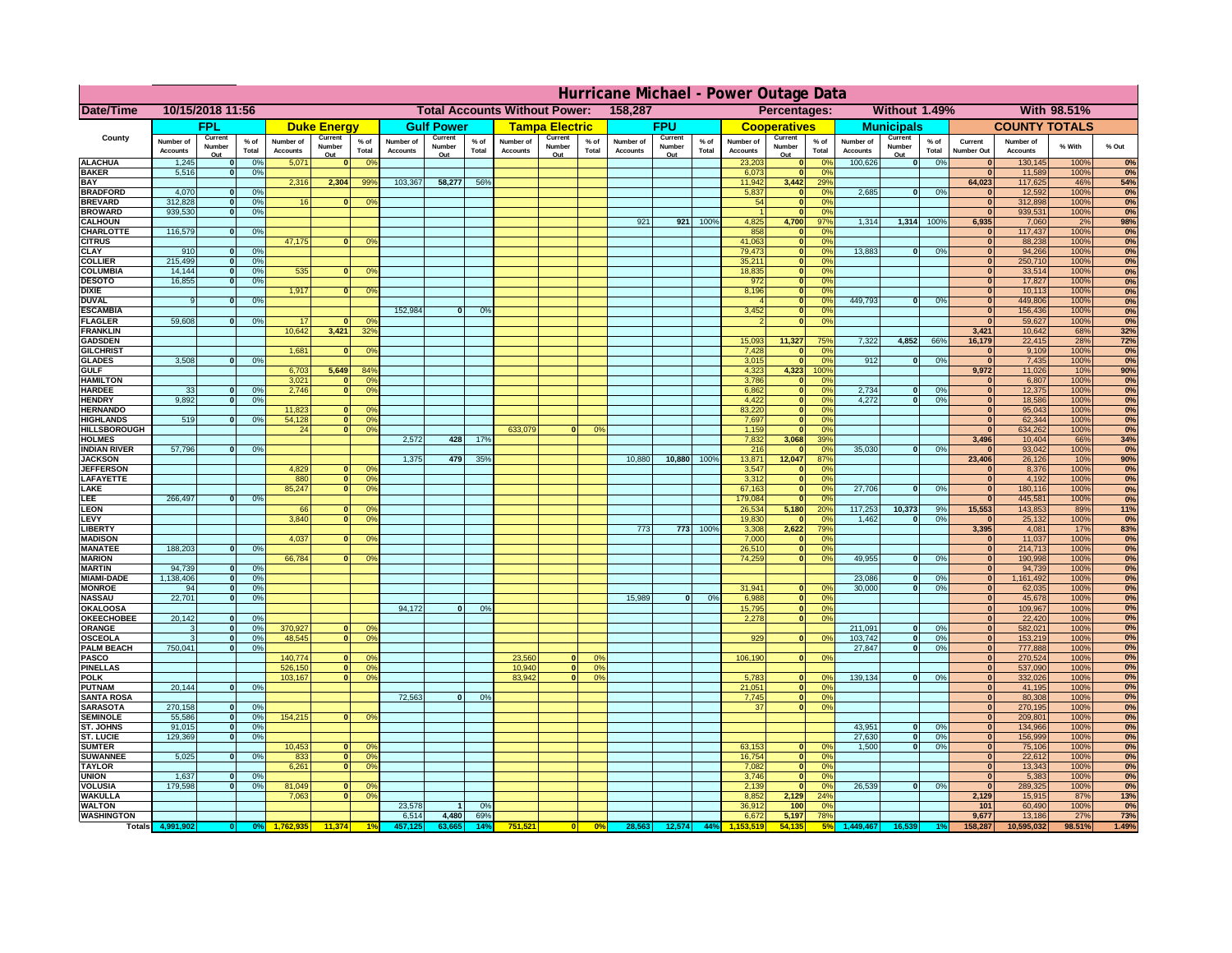|                                         | Hurricane Michael - Power Outage Data |                              |                                  |                              |                      |                                                 |                              |                   |                     |                              |                                              |                      |                       |                   |                 |                              |                              |                                  |                              |                                |                 |                              |                              |               |                     |
|-----------------------------------------|---------------------------------------|------------------------------|----------------------------------|------------------------------|----------------------|-------------------------------------------------|------------------------------|-------------------|---------------------|------------------------------|----------------------------------------------|----------------------|-----------------------|-------------------|-----------------|------------------------------|------------------------------|----------------------------------|------------------------------|--------------------------------|-----------------|------------------------------|------------------------------|---------------|---------------------|
| Date/Time                               | 10/15/2018 11:56                      |                              |                                  |                              |                      | 158,287<br><b>Total Accounts Without Power:</b> |                              |                   |                     |                              | Without 1.49%<br>With 98.51%<br>Percentages: |                      |                       |                   |                 |                              |                              |                                  |                              |                                |                 |                              |                              |               |                     |
|                                         |                                       | <b>FPL</b>                   |                                  |                              | <b>Duke Energy</b>   |                                                 |                              | <b>Gulf Power</b> |                     |                              | <b>Tampa Electric</b>                        |                      |                       | <b>FPU</b>        |                 |                              | <b>Cooperatives</b>          |                                  |                              | <b>Municipals</b>              |                 |                              | <b>COUNTY TOTALS</b>         |               |                     |
| County                                  | Number of<br><b>Accounts</b>          | Current<br>Number            | $%$ of<br>Total                  | Number of<br><b>Accounts</b> | Current<br>Number    | $%$ of<br>Total                                 | Number of<br><b>Accounts</b> | Current<br>Number | $%$ of<br>Total     | Number of<br><b>Accounts</b> | Current<br>Number                            | $%$ of<br>Total      | Number of<br>Accounts | Current<br>Number | $%$ of<br>Total | Number of<br><b>Accounts</b> | Current<br>Number            | $%$ of<br>Total                  | Number of<br><b>Accounts</b> | Current<br>Number              | $%$ of<br>Total | Current<br><b>Number Out</b> | Number of<br><b>Accounts</b> | % With        | % Out               |
| <b>ALACHUA</b>                          | 1,245                                 | Out<br>$\mathbf{0}$          | 0%                               | 5,071                        | Out<br>$\mathbf{0}$  | 0 <sup>9</sup>                                  |                              | Out               |                     |                              | Out                                          |                      |                       | Out               |                 | 23,203                       | Out<br>$\mathbf{0}$          | $\Omega$ <sup>c</sup>            | 100,626                      | Out<br>$\overline{\mathbf{0}}$ | 0%              | $\bf{0}$                     | 130,145                      | 100%          | 0%                  |
| <b>BAKER</b>                            | 5,516                                 | $\mathbf{0}$                 | 0%                               |                              |                      |                                                 |                              |                   |                     |                              |                                              |                      |                       |                   |                 | 6,073                        | $\mathbf{0}$                 | 0 <sup>9</sup>                   |                              |                                |                 | $\bf{0}$                     | 11,589                       | 100%          | 0%                  |
| <b>BAY</b><br><b>BRADFORD</b>           | 4,070                                 | $\mathbf{0}$                 | 0%                               | 2,316                        | 2,304                | 99%                                             | 103,367                      | 58,277            | 56%                 |                              |                                              |                      |                       |                   |                 | 11,942<br>5,837              | 3,442<br>$\mathbf{0}$        | 29%<br>0 <sup>9</sup>            | 2,685                        | 0                              | 0%              | 64,023<br>$\bf{0}$           | 117,625<br>12,592            | 46%<br>100%   | 54%<br>0%           |
| <b>BREVARD</b>                          | 312,828                               | $\mathbf{0}$                 | 0%                               | 16                           | $\mathbf{0}$         | 0 <sup>o</sup>                                  |                              |                   |                     |                              |                                              |                      |                       |                   |                 | 54                           | $\mathbf{0}$                 | 0 <sup>9</sup>                   |                              |                                |                 | $\bf{0}$                     | 312,898                      | 100%          | 0%                  |
| <b>BROWARD</b>                          | 939.530                               | $\Omega$                     | 0%                               |                              |                      |                                                 |                              |                   |                     |                              |                                              |                      |                       |                   |                 |                              | $\mathbf{0}$                 | 0 <sup>9</sup>                   |                              |                                |                 | $\bf{0}$                     | 939,531                      | 100%          | 0%                  |
| <b>CALHOUN</b><br>CHARLOTTE             | 116,579                               | $\mathbf{0}$                 | 0%                               |                              |                      |                                                 |                              |                   |                     |                              |                                              |                      | 921                   | 921               | 100%            | 4,825<br>858                 | 4,700                        | 97%<br>0%                        | 1,314                        | 1,314                          | 100%            | 6,935<br>$\bf{0}$            | 7,060<br>117,437             | 2%<br>100%    | 98%<br>0%           |
| <b>CITRUS</b>                           |                                       |                              |                                  | 47,175                       | $\mathbf{0}$         | 0 <sup>o</sup>                                  |                              |                   |                     |                              |                                              |                      |                       |                   |                 | 41,063                       | $\mathbf{0}$                 | $\Omega$ <sup>c</sup>            |                              |                                |                 | $\bf{0}$                     | 88,238                       | 100%          | 0%                  |
| <b>CLAY</b>                             | 910                                   | $\mathbf{0}$                 | 0%                               |                              |                      |                                                 |                              |                   |                     |                              |                                              |                      |                       |                   |                 | 79,473                       | $\mathbf{0}$                 | 0 <sup>9</sup>                   | 13,883                       | 0                              | 0%              | $\mathbf{0}$                 | 94,266                       | 100%          | 0%                  |
| <b>COLLIER</b><br><b>COLUMBIA</b>       | 215,499<br>14,144                     | $\mathbf{0}$<br>$\mathbf{0}$ | 0 <sup>9</sup><br>0 <sup>9</sup> | 535                          | $\bf{0}$             | 0 <sup>9</sup>                                  |                              |                   |                     |                              |                                              |                      |                       |                   |                 | 35,211<br>18,835             | $\mathbf{0}$<br>$\mathbf{0}$ | 0 <sup>9</sup><br>0 <sup>9</sup> |                              |                                |                 | $\mathbf{0}$<br>$\bf{0}$     | 250,710<br>33,514            | 100%<br>100%  | 0%<br>0%            |
| <b>DESOTO</b>                           | 16,855                                | $\mathbf{0}$                 | 0%                               |                              |                      |                                                 |                              |                   |                     |                              |                                              |                      |                       |                   |                 | 972                          | $\mathbf{0}$                 | 0 <sup>9</sup>                   |                              |                                |                 | $\bf{0}$                     | 17,827                       | 100%          | 0%                  |
| <b>DIXIE</b>                            |                                       |                              |                                  | 1,917                        | $\Omega$             | 0 <sup>9</sup>                                  |                              |                   |                     |                              |                                              |                      |                       |                   |                 | 8,196                        | $\mathbf{0}$                 | 0 <sup>9</sup>                   |                              |                                |                 | $\bf{0}$                     | 10,113                       | 100%          | 0%                  |
| <b>DUVAL</b><br><b>ESCAMBIA</b>         | 9                                     | $\Omega$                     | 0%                               |                              |                      |                                                 | 152,984                      | $\Omega$          | 0%                  |                              |                                              |                      |                       |                   |                 | 3,452                        | $\mathbf{0}$<br>$\mathbf{0}$ | 0 <sup>9</sup><br>0%             | 449.793                      | $\mathbf{0}$                   | 0%              | $\bf{0}$<br>$\bf{0}$         | 449,806<br>156,436           | 100%<br>100%  | 0%<br>0%            |
| <b>FLAGLER</b>                          | 59,608                                | $\mathbf{o}$                 | 0%                               | 17                           |                      | 0°                                              |                              |                   |                     |                              |                                              |                      |                       |                   |                 |                              | $\mathbf{0}$                 | 0%                               |                              |                                |                 | $\Omega$                     | 59,627                       | 100%          | 0%                  |
| <b>FRANKLIN</b>                         |                                       |                              |                                  | 10,642                       | 3,421                | 32 <sup>o</sup>                                 |                              |                   |                     |                              |                                              |                      |                       |                   |                 |                              |                              |                                  |                              |                                |                 | 3,421                        | 10,642                       | 68%           | <b>32%</b>          |
| <b>GADSDEN</b><br><b>GILCHRIST</b>      |                                       |                              |                                  | 1,681                        | $\mathbf{0}$         | 0 <sup>9</sup>                                  |                              |                   |                     |                              |                                              |                      |                       |                   |                 | 15,093<br>7,428              | 11,327<br>$\mathbf{0}$       | 75%<br>0%                        | 7,322                        | 4,852                          | 66%             | 16,179<br>$\mathbf{0}$       | 22,415<br>9,109              | 28%<br>100%   | <b>72%</b><br>0%    |
| <b>GLADES</b>                           | 3,508                                 | $\mathbf{0}$                 | 0%                               |                              |                      |                                                 |                              |                   |                     |                              |                                              |                      |                       |                   |                 | 3,015                        | $\Omega$                     | 0 <sup>9</sup>                   | 912                          | $\overline{0}$                 | 0%              | $\overline{0}$               | 7,435                        | 100%          | 0%                  |
| <b>GULF</b>                             |                                       |                              |                                  | 6,703                        | 5,649                | 84%                                             |                              |                   |                     |                              |                                              |                      |                       |                   |                 | 4,323                        | 4,323                        | 100%                             |                              |                                |                 | 9,972                        | 11,026                       | 10%           | 90%                 |
| <b>HAMILTON</b><br><b>HARDEE</b>        | 33                                    | $\mathbf{0}$                 | 0%                               | 3,021<br>2.746               | $\Omega$<br>$\Omega$ | 0 <sup>9</sup><br>0 <sup>9</sup>                |                              |                   |                     |                              |                                              |                      |                       |                   |                 | 3,786<br>6.862               | $\Omega$<br>$\mathbf{0}$     | 0 <sup>9</sup><br>0%             | 2.734                        | $\mathbf{0}$                   | 0%              | $\bf{0}$<br>$\mathbf{0}$     | 6,807<br>12,375              | 100%<br>100%  | 0%<br>0%            |
| <b>HENDRY</b>                           | 9.892                                 | 0I                           | 0%                               |                              |                      |                                                 |                              |                   |                     |                              |                                              |                      |                       |                   |                 | 4.422                        | $\overline{0}$               | 0%                               | 4.272                        | $\overline{0}$                 | 0%              | $\mathbf{0}$                 | 18,586                       | 100%          | 0%                  |
| <b>HERNANDO</b>                         |                                       |                              |                                  | 11,823                       |                      | 0 <sup>9</sup>                                  |                              |                   |                     |                              |                                              |                      |                       |                   |                 | 83,220                       | $\mathbf{0}$                 | 0%                               |                              |                                |                 | $\mathbf{0}$                 | 95,043                       | 100%          | 0%                  |
| <b>HIGHLANDS</b><br><b>HILLSBOROUGH</b> | 519                                   |                              | 0%                               | 54,128<br>24                 |                      | 0 <br>0 <sup>9</sup><br>$\overline{0}$<br>0%    |                              |                   |                     | 633,079                      |                                              | 0%                   |                       |                   |                 | 7,697<br>1,159               | $\mathbf{0}$<br>$\mathbf{0}$ | 0%<br>0 <sup>9</sup>             |                              |                                |                 | $\mathbf{0}$<br>$\bf{0}$     | 62,344<br>634,262            | 100%<br>100%  | 0%<br>0%            |
| <b>HOLMES</b>                           |                                       |                              |                                  |                              |                      |                                                 | 2,572                        | 428               | 17%                 |                              |                                              |                      |                       |                   |                 | 7,832                        | 3,068                        | 39%                              |                              |                                |                 | 3,496                        | 10,404                       | 66%           | 34%                 |
| <b>INDIAN RIVER</b>                     | 57,796                                | $\mathbf{0}$                 | 0%                               |                              |                      |                                                 |                              |                   |                     |                              |                                              |                      |                       |                   |                 | 216                          |                              | 0 <sup>9</sup>                   | 35,030                       | $\mathbf{0}$                   | 0%              | $\mathbf{0}$                 | 93,042                       | 100%          | 0%                  |
| <b>JACKSON</b><br><b>JEFFERSOI</b>      |                                       |                              |                                  | 4,829                        |                      | n.<br>O <sup>9</sup>                            | 1.375                        | 479               | 35%                 |                              |                                              |                      | 10,880                | 10,880            | 100%            | 13,871<br>3,547              | 12,047<br>$\mathbf{0}$       | 87%<br>0 <sup>9</sup>            |                              |                                |                 | 23,406<br>$\bf{0}$           | 26,126<br>8,376              | 10%<br>100%   | 90%<br>0%           |
| <b>LAFAYETTE</b>                        |                                       |                              |                                  | 880                          |                      | $\overline{0}$<br>0 <sup>9</sup>                |                              |                   |                     |                              |                                              |                      |                       |                   |                 | 3,312                        | $\mathbf{0}$                 | 0%                               |                              |                                |                 | $\mathbf{0}$                 | 4,192                        | 100%          | 0%                  |
| LAKE                                    |                                       |                              |                                  | 85,247                       | $\Omega$             | 0 <sup>9</sup>                                  |                              |                   |                     |                              |                                              |                      |                       |                   |                 | 67,163                       | $\mathbf{0}$                 | 0 <sup>9</sup>                   | 27,706                       | $\Omega$                       | 0%              | $\mathbf{0}$                 | 180,116                      | 100%          | 0%                  |
| LEE<br>LEON                             | 266,497                               | nl                           | 0%                               | 66                           |                      | 0 <sup>o</sup>                                  |                              |                   |                     |                              |                                              |                      |                       |                   |                 | 179,084<br>26,534            | $\Omega$<br>5,180            | 0 <sup>9</sup><br>20%            | 117,253                      | 10,373                         | 9%              | $\mathbf{0}$<br>15,553       | 445,581<br>143,853           | 100%<br>89%   | 0%<br>11%           |
| LEVY                                    |                                       |                              |                                  | 3,840                        | $\Omega$             | 0 <sup>9</sup>                                  |                              |                   |                     |                              |                                              |                      |                       |                   |                 | 19,830                       |                              | 0 <sup>9</sup>                   | 1,462                        | $\mathbf{0}$                   | 0%              | $\mathbf{0}$                 | 25,132                       | 100%          | 0%                  |
| LIBERTY                                 |                                       |                              |                                  |                              |                      |                                                 |                              |                   |                     |                              |                                              |                      | 773                   | 773               | 100%            | 3,308                        | 2,622                        | 79%                              |                              |                                |                 | 3,395                        | 4,081                        | 17%           | 83%                 |
| <b>MADISON</b><br><b>MANATEE</b>        | 188,203                               | $\mathbf{0}$                 | 0%                               | 4,037                        |                      | 0 <sup>9</sup>                                  |                              |                   |                     |                              |                                              |                      |                       |                   |                 | 7,000<br>26,510              |                              | 0%<br>0%                         |                              |                                |                 | $\mathbf{0}$<br> 0           | 11,037<br>214,713            | 100%<br>100%  | 0%<br>0%            |
| <b>MARION</b>                           |                                       |                              |                                  | 66,784                       |                      | 0°                                              |                              |                   |                     |                              |                                              |                      |                       |                   |                 | 74,259                       | $\Omega$                     | 0%                               | 49,955                       | $\mathbf{0}$                   | 0%              | 0                            | 190,998                      | 100%          | 0%                  |
| <b>MARTIN</b>                           | 94,739                                | 0                            | 0%                               |                              |                      |                                                 |                              |                   |                     |                              |                                              |                      |                       |                   |                 |                              |                              |                                  |                              |                                |                 | 0                            | 94,739                       | 100%          | 0%                  |
| <b>MIAMI-DADE</b><br><b>MONROE</b>      | 1,138,406<br>94                       | 0 <br> 0                     | 0%<br>0%                         |                              |                      |                                                 |                              |                   |                     |                              |                                              |                      |                       |                   |                 | 31,941                       |                              | 0 <sup>o</sup>                   | 23,086<br>30,000             | $\Omega$<br>$\Omega$           | 0%<br>0%        | 0 <br>$\mathbf{0}$           | 1,161,492<br>62,035          | 100%<br>100%  | 0%<br>0%            |
| <b>NASSAU</b>                           | 22,701                                | 0                            | 0%                               |                              |                      |                                                 |                              |                   |                     |                              |                                              |                      | 15,989                | 0                 | 0%              | 6,988                        | $\mathbf{0}$                 | 0 <sup>9</sup>                   |                              |                                |                 | $\mathbf{0}$                 | 45,678                       | 100%          | 0%                  |
| OKALOOS/                                |                                       |                              |                                  |                              |                      |                                                 | 94,172                       | $\mathbf{0}$      | 0%                  |                              |                                              |                      |                       |                   |                 | 15,795                       | 0                            | 0%                               |                              |                                |                 | $\mathbf{0}$                 | 109,967                      | 100%          | 0%                  |
| <b>OKEECHOBEE</b><br>ORANGE             | 20,142<br>3                           | 0 <br> 0                     | 0%<br>0%                         | 370,927                      | $\mathbf{0}$         | 0 <sup>o</sup>                                  |                              |                   |                     |                              |                                              |                      |                       |                   |                 | 2,278                        | 0                            | 0%                               | 211,091                      | 0                              | 0%              | $\mathbf{0}$<br>$\mathbf{0}$ | 22,420<br>582,021            | 100%<br>100%  | 0%<br>0%            |
| <b>OSCEOLA</b>                          | 3                                     | 0                            | 0%                               | 48,545                       | $\Omega$             | 0 <sup>9</sup>                                  |                              |                   |                     |                              |                                              |                      |                       |                   |                 | 929                          | $\Omega$                     | 0 <sup>9</sup>                   | 103,742                      | 0                              | 0%              | 0                            | 153,219                      | 100%          | 0%                  |
| <b>PALM BEACH</b>                       | 750,041                               |                              | 0%<br> 0                         |                              |                      |                                                 |                              |                   |                     |                              |                                              |                      |                       |                   |                 |                              |                              |                                  | 27,847                       | $\mathbf{0}$                   | 0%              | $\mathbf{0}$                 | 777,888                      | 100%          | 0%                  |
| <b>PASCO</b><br><b>PINELLAS</b>         |                                       |                              |                                  | 140,774<br>526,150           | $\mathbf{0}$         | 0 <sup>9</sup><br>0 <sup>9</sup><br>$\Omega$    |                              |                   |                     | 23,560<br>10,940             | $\Omega$<br> 0                               | 0 <sup>2</sup><br>0% |                       |                   |                 | 106,190                      | 0                            | 0 <sup>9</sup>                   |                              |                                |                 | $\mathbf{0}$<br>$\mathbf{0}$ | 270,524<br>537,090           | 100%<br>100%  | 0%<br>0%            |
| <b>POLK</b>                             |                                       |                              |                                  | 103,167                      |                      | 0 <sup>9</sup><br> 0                            |                              |                   |                     | 83,942                       | 0                                            | 0%                   |                       |                   |                 | 5,783                        | $\Omega$                     | no                               | 139,134                      | 0                              | 0%              | $\mathbf{0}$                 | 332,026                      | 100%          | 0%                  |
| <b>PUTNAM</b>                           | 20,144                                | 0                            | 0%                               |                              |                      |                                                 |                              |                   |                     |                              |                                              |                      |                       |                   |                 | 21,051                       | $\mathbf{0}$                 | 0 <sup>9</sup>                   |                              |                                |                 | $\mathbf{0}$                 | 41,195                       | 100%          | 0%                  |
| <b>SANTA ROSA</b><br><b>SARASOTA</b>    | 270,158                               | 0                            | 0%                               |                              |                      |                                                 | 72,563                       | 0                 | 0%                  |                              |                                              |                      |                       |                   |                 | 7,745<br>37                  | 0 <br>$\overline{0}$         | 0%<br>0%                         |                              |                                |                 | $\mathbf{0}$<br>$\mathbf{0}$ | 80,308<br>270,195            | 100%<br>100%  | 0%<br>0%            |
| <b>SEMINOLE</b>                         | 55,586                                | 0                            | 0%                               | 154,215                      |                      | $\mathbf{0}$<br>0 <sup>9</sup>                  |                              |                   |                     |                              |                                              |                      |                       |                   |                 |                              |                              |                                  |                              |                                |                 | $\mathbf{0}$                 | 209,801                      | 100%          | 0%                  |
| <b>ST. JOHNS</b>                        | 91,015                                | 0                            | 0%                               |                              |                      |                                                 |                              |                   |                     |                              |                                              |                      |                       |                   |                 |                              |                              |                                  | 43,951                       | 0                              | 0%              | $\mathbf{0}$                 | 134,966                      | 100%          | 0%                  |
| <b>ST. LUCIE</b><br><b>SUMTER</b>       | 129.369                               | $\mathbf{0}$                 | 0%                               | 10,453                       |                      | $\mathbf{0}$<br>0 <sup>9</sup>                  |                              |                   |                     |                              |                                              |                      |                       |                   |                 | 63,153                       | $\mathbf{0}$                 | 0 <sup>o</sup>                   | 27,630<br>1.500              | $\mathbf{0}$<br> 0             | 0%<br>0%        | 0 <br>$\mathbf{0}$           | 156.999<br>75,106            | 100%<br>100%  | 0%<br>0%            |
| <b>SUWANNEE</b>                         | 5,025                                 | $\Omega$                     | 0%                               | 833                          |                      | 0 <br>0 <sup>9</sup>                            |                              |                   |                     |                              |                                              |                      |                       |                   |                 | 16,754                       | $\mathbf{0}$                 | 0 <sup>9</sup>                   |                              |                                |                 | $\mathbf{0}$                 | 22,612                       | 100%          | 0%                  |
| <b>TAYLOR</b>                           |                                       |                              |                                  | 6,261                        |                      | 0 <br>0 <sup>9</sup>                            |                              |                   |                     |                              |                                              |                      |                       |                   |                 | 7,082                        | $\mathbf{0}$                 | 0%                               |                              |                                |                 | $\mathbf{0}$                 | 13,343                       | 100%          | 0%                  |
| <b>UNION</b><br><b>VOLUSIA</b>          | 1,637<br>179,598                      | $\mathbf{0}$<br>$\mathbf{0}$ | 0%<br>0%                         | 81,049                       | $\bf{0}$             | 0 <sup>9</sup>                                  |                              |                   |                     |                              |                                              |                      |                       |                   |                 | 3,746<br>2,139               | $\mathbf{0}$                 | 0 <sup>9</sup><br>0 <sup>9</sup> | 26,539                       | 0                              | 0%              | $\mathbf{0}$<br>$\mathbf{0}$ | 5,383<br>289,325             | 100%<br>100%  | 0%<br>0%            |
| <b>WAKULLA</b>                          |                                       |                              |                                  | 7,063                        | $\mathbf{0}$         | 0 <sup>9</sup>                                  |                              |                   |                     |                              |                                              |                      |                       |                   |                 | 8,852                        | 2,129                        | 24%                              |                              |                                |                 | 2,129                        | 15,915                       | 87%           | 13%                 |
| <b>WALTON</b>                           |                                       |                              |                                  |                              |                      |                                                 | 23,578                       |                   | 0%                  |                              |                                              |                      |                       |                   |                 | 36,912                       | 100                          | 0 <sup>9</sup>                   |                              |                                |                 | 101                          | 60,490                       | 100%          | 0%                  |
| <b>WASHINGTON</b><br><b>Totals</b>      |                                       |                              |                                  |                              | 11,374               |                                                 | 6,514                        | 4,480<br>33.66!   | 69%<br>$14^{\circ}$ | 751,521                      |                                              | 0%                   | 28,563                | 12,574            | 44%             | 6,672                        | 5,197<br>54.13               | 78%                              |                              |                                |                 | 9,677<br>158,287             | 13,186<br>10,595,032         | 27%<br>98.51% | <b>73%</b><br>1.49% |
|                                         |                                       |                              |                                  |                              |                      |                                                 |                              |                   |                     |                              |                                              |                      |                       |                   |                 |                              |                              |                                  |                              |                                |                 |                              |                              |               |                     |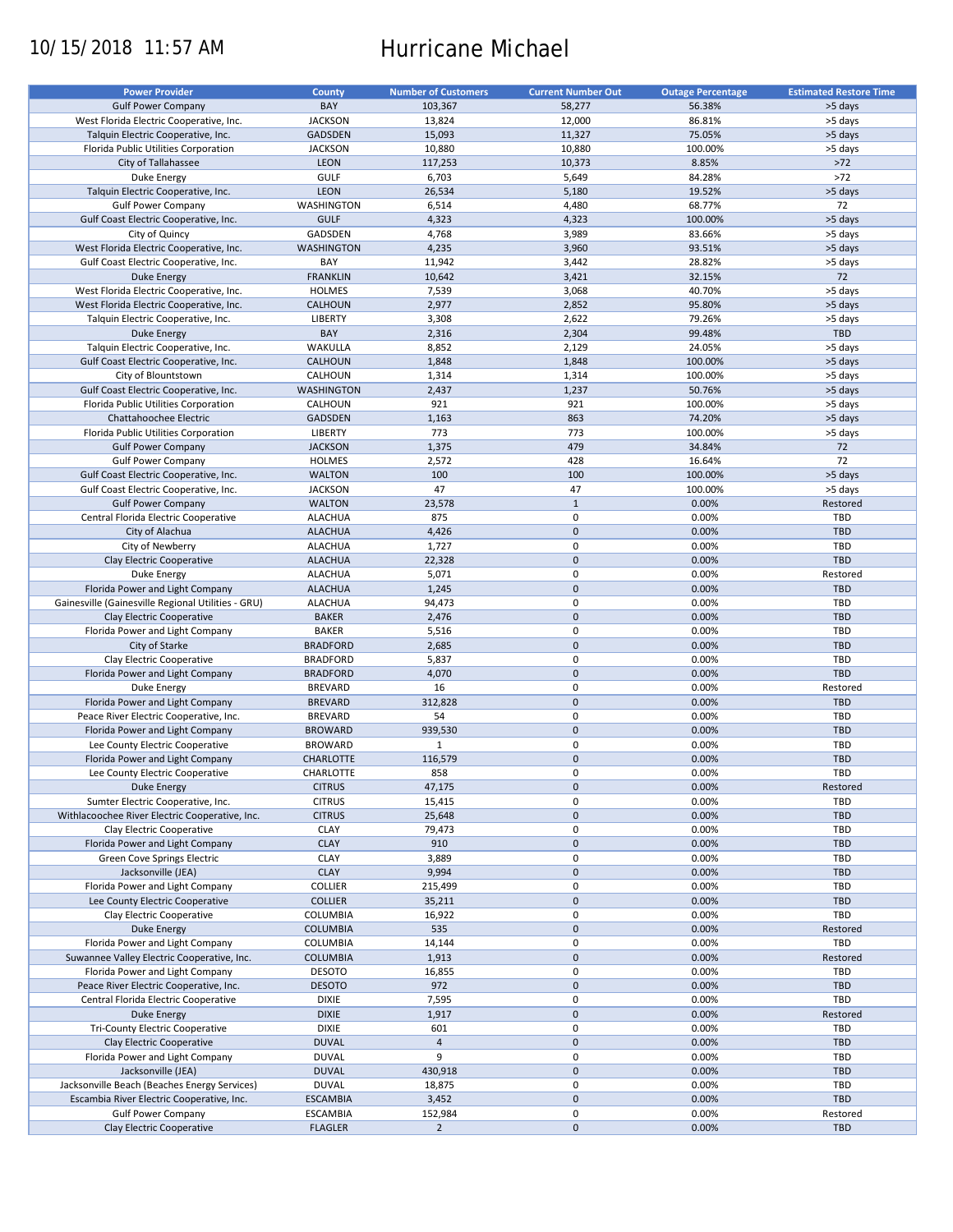# 10/15/2018 11:57 AM Hurricane Michael

| <b>Power Provider</b>                              | <b>County</b>     | <b>Number of Customers</b> | <b>Current Number Out</b> | <b>Outage Percentage</b> | <b>Estimated Restore Time</b> |
|----------------------------------------------------|-------------------|----------------------------|---------------------------|--------------------------|-------------------------------|
|                                                    |                   |                            |                           |                          |                               |
| <b>Gulf Power Company</b>                          | BAY               | 103,367                    | 58,277                    | 56.38%                   | >5 days                       |
| West Florida Electric Cooperative, Inc.            | <b>JACKSON</b>    | 13,824                     | 12,000                    | 86.81%                   | >5 days                       |
| Talquin Electric Cooperative, Inc.                 | <b>GADSDEN</b>    | 15,093                     | 11,327                    | 75.05%                   | >5 days                       |
| Florida Public Utilities Corporation               | <b>JACKSON</b>    | 10,880                     | 10,880                    | 100.00%                  | >5 days                       |
| City of Tallahassee                                | LEON              | 117,253                    | 10,373                    | 8.85%                    | $>72$                         |
| Duke Energy                                        | GULF              | 6,703                      | 5,649                     | 84.28%                   | $>72$                         |
| Talquin Electric Cooperative, Inc.                 | LEON              | 26,534                     | 5,180                     | 19.52%                   | >5 days                       |
| <b>Gulf Power Company</b>                          | WASHINGTON        | 6,514                      | 4,480                     | 68.77%                   | 72                            |
| Gulf Coast Electric Cooperative, Inc.              | <b>GULF</b>       | 4,323                      | 4,323                     | 100.00%                  | >5 days                       |
| City of Quincy                                     | <b>GADSDEN</b>    | 4,768                      | 3,989                     | 83.66%                   | >5 days                       |
|                                                    |                   |                            |                           |                          |                               |
| West Florida Electric Cooperative, Inc.            | <b>WASHINGTON</b> | 4,235                      | 3,960                     | 93.51%                   | >5 days                       |
| Gulf Coast Electric Cooperative, Inc.              | BAY               | 11,942                     | 3,442                     | 28.82%                   | >5 days                       |
| Duke Energy                                        | <b>FRANKLIN</b>   | 10,642                     | 3,421                     | 32.15%                   | 72                            |
| West Florida Electric Cooperative, Inc.            | <b>HOLMES</b>     | 7,539                      | 3,068                     | 40.70%                   | >5 days                       |
| West Florida Electric Cooperative, Inc.            | CALHOUN           | 2,977                      | 2,852                     | 95.80%                   | >5 days                       |
| Talquin Electric Cooperative, Inc.                 | LIBERTY           | 3,308                      | 2,622                     | 79.26%                   | >5 days                       |
| <b>Duke Energy</b>                                 | BAY               | 2,316                      | 2,304                     | 99.48%                   | <b>TBD</b>                    |
| Talquin Electric Cooperative, Inc.                 | WAKULLA           | 8,852                      | 2,129                     | 24.05%                   | >5 days                       |
| Gulf Coast Electric Cooperative, Inc.              | CALHOUN           | 1,848                      | 1,848                     | 100.00%                  | >5 days                       |
|                                                    |                   |                            |                           |                          |                               |
| City of Blountstown                                | CALHOUN           | 1,314                      | 1,314                     | 100.00%                  | >5 days                       |
| Gulf Coast Electric Cooperative, Inc.              | <b>WASHINGTON</b> | 2,437                      | 1,237                     | 50.76%                   | >5 days                       |
| Florida Public Utilities Corporation               | CALHOUN           | 921                        | 921                       | 100.00%                  | >5 days                       |
| Chattahoochee Electric                             | <b>GADSDEN</b>    | 1,163                      | 863                       | 74.20%                   | >5 days                       |
| Florida Public Utilities Corporation               | LIBERTY           | 773                        | 773                       | 100.00%                  | >5 days                       |
| <b>Gulf Power Company</b>                          | <b>JACKSON</b>    | 1,375                      | 479                       | 34.84%                   | 72                            |
| <b>Gulf Power Company</b>                          | <b>HOLMES</b>     | 2,572                      | 428                       | 16.64%                   | 72                            |
|                                                    |                   | 100                        |                           |                          |                               |
| Gulf Coast Electric Cooperative, Inc.              | <b>WALTON</b>     |                            | 100                       | 100.00%                  | >5 days                       |
| Gulf Coast Electric Cooperative, Inc.              | <b>JACKSON</b>    | 47                         | 47                        | 100.00%                  | >5 days                       |
| <b>Gulf Power Company</b>                          | <b>WALTON</b>     | 23,578                     | $\mathbf{1}$              | 0.00%                    | Restored                      |
| Central Florida Electric Cooperative               | <b>ALACHUA</b>    | 875                        | $\mathbf 0$               | 0.00%                    | TBD                           |
| City of Alachua                                    | <b>ALACHUA</b>    | 4,426                      | $\mathbf 0$               | 0.00%                    | <b>TBD</b>                    |
| City of Newberry                                   | <b>ALACHUA</b>    | 1,727                      | $\mathbf 0$               | 0.00%                    | TBD                           |
| Clay Electric Cooperative                          | <b>ALACHUA</b>    | 22,328                     | $\mathbf 0$               | 0.00%                    | <b>TBD</b>                    |
| Duke Energy                                        | <b>ALACHUA</b>    | 5,071                      | $\mathbf 0$               | 0.00%                    | Restored                      |
|                                                    | <b>ALACHUA</b>    | 1,245                      | $\mathbf 0$               | 0.00%                    | <b>TBD</b>                    |
| Florida Power and Light Company                    |                   |                            |                           |                          |                               |
| Gainesville (Gainesville Regional Utilities - GRU) | <b>ALACHUA</b>    | 94,473                     | $\mathbf 0$               | 0.00%                    | TBD                           |
| Clay Electric Cooperative                          | <b>BAKER</b>      | 2,476                      | $\mathbf 0$               | 0.00%                    | <b>TBD</b>                    |
| Florida Power and Light Company                    | <b>BAKER</b>      | 5,516                      | $\mathbf 0$               | 0.00%                    | TBD                           |
| City of Starke                                     | <b>BRADFORD</b>   | 2,685                      | $\mathbf 0$               | 0.00%                    | <b>TBD</b>                    |
| Clay Electric Cooperative                          | <b>BRADFORD</b>   | 5,837                      | $\pmb{0}$                 | 0.00%                    | TBD                           |
| Florida Power and Light Company                    | <b>BRADFORD</b>   | 4,070                      | $\mathbf 0$               | 0.00%                    | <b>TBD</b>                    |
| Duke Energy                                        | <b>BREVARD</b>    | 16                         | $\mathbf 0$               | 0.00%                    | Restored                      |
| Florida Power and Light Company                    | <b>BREVARD</b>    | 312,828                    | $\mathbf 0$               | 0.00%                    | <b>TBD</b>                    |
|                                                    |                   |                            |                           |                          |                               |
| Peace River Electric Cooperative, Inc.             | <b>BREVARD</b>    | 54                         | $\mathbf 0$               | 0.00%                    | TBD                           |
| Florida Power and Light Company                    | <b>BROWARD</b>    | 939,530                    | $\mathbf 0$               | 0.00%                    | <b>TBD</b>                    |
| Lee County Electric Cooperative                    | <b>BROWARD</b>    | $\mathbf{1}$               | $\mathbf 0$               | 0.00%                    | TBD                           |
| Florida Power and Light Company                    | <b>CHARLOTTE</b>  | 116,579                    | $\mathbf 0$               | 0.00%                    | <b>TBD</b>                    |
| Lee County Electric Cooperative                    | CHARLOTTE         | 858                        | $\mathbf 0$               | 0.00%                    | TBD                           |
| <b>Duke Energy</b>                                 | <b>CITRUS</b>     | 47,175                     | $\mathbf 0$               | 0.00%                    | Restored                      |
| Sumter Electric Cooperative, Inc.                  | <b>CITRUS</b>     | 15,415                     | $\mathbf 0$               | 0.00%                    | TBD                           |
| Withlacoochee River Electric Cooperative, Inc.     | <b>CITRUS</b>     | 25,648                     | $\mathbf 0$               | 0.00%                    | <b>TBD</b>                    |
| Clay Electric Cooperative                          | <b>CLAY</b>       |                            | $\mathbf 0$               | 0.00%                    | TBD                           |
|                                                    |                   | 79,473                     |                           |                          |                               |
| Florida Power and Light Company                    | <b>CLAY</b>       | 910                        | $\mathbf 0$               | 0.00%                    | <b>TBD</b>                    |
| Green Cove Springs Electric                        | <b>CLAY</b>       | 3,889                      | $\mathbf 0$               | 0.00%                    | TBD                           |
| Jacksonville (JEA)                                 | <b>CLAY</b>       | 9,994                      | $\mathbf 0$               | 0.00%                    | <b>TBD</b>                    |
| Florida Power and Light Company                    | COLLIER           | 215,499                    | $\mathbf 0$               | 0.00%                    | TBD                           |
| Lee County Electric Cooperative                    | <b>COLLIER</b>    | 35,211                     | $\mathbf 0$               | 0.00%                    | <b>TBD</b>                    |
| Clay Electric Cooperative                          | COLUMBIA          | 16,922                     | $\mathbf 0$               | 0.00%                    | TBD                           |
| Duke Energy                                        | <b>COLUMBIA</b>   | 535                        | $\mathbf 0$               | 0.00%                    | Restored                      |
| Florida Power and Light Company                    | COLUMBIA          | 14,144                     | $\mathbf 0$               | 0.00%                    | <b>TBD</b>                    |
| Suwannee Valley Electric Cooperative, Inc.         | <b>COLUMBIA</b>   | 1,913                      | $\mathbf 0$               | 0.00%                    | Restored                      |
|                                                    |                   |                            |                           |                          |                               |
| Florida Power and Light Company                    | <b>DESOTO</b>     | 16,855                     | $\mathbf 0$               | 0.00%                    | TBD                           |
| Peace River Electric Cooperative, Inc.             | <b>DESOTO</b>     | 972                        | $\mathbf 0$               | 0.00%                    | <b>TBD</b>                    |
| Central Florida Electric Cooperative               | <b>DIXIE</b>      | 7,595                      | $\pmb{0}$                 | 0.00%                    | TBD                           |
| Duke Energy                                        | <b>DIXIE</b>      | 1,917                      | $\mathbf 0$               | 0.00%                    | Restored                      |
| Tri-County Electric Cooperative                    | <b>DIXIE</b>      | 601                        | $\mathbf 0$               | 0.00%                    | <b>TBD</b>                    |
| Clay Electric Cooperative                          | <b>DUVAL</b>      | $\overline{4}$             | $\mathbf 0$               | 0.00%                    | <b>TBD</b>                    |
| Florida Power and Light Company                    | <b>DUVAL</b>      | 9                          | $\mathbf 0$               | 0.00%                    | <b>TBD</b>                    |
| Jacksonville (JEA)                                 | <b>DUVAL</b>      | 430,918                    | $\mathbf 0$               | 0.00%                    | <b>TBD</b>                    |
|                                                    |                   |                            |                           |                          |                               |
| Jacksonville Beach (Beaches Energy Services)       | <b>DUVAL</b>      | 18,875                     | $\mathbf 0$               | 0.00%                    | TBD                           |
| Escambia River Electric Cooperative, Inc.          | <b>ESCAMBIA</b>   | 3,452                      | $\mathbf 0$               | 0.00%                    | <b>TBD</b>                    |
| <b>Gulf Power Company</b>                          | ESCAMBIA          | 152,984                    | $\mathbf 0$               | 0.00%                    | Restored                      |
| Clay Electric Cooperative                          | <b>FLAGLER</b>    | $\overline{2}$             | $\mathbf 0$               | 0.00%                    | <b>TBD</b>                    |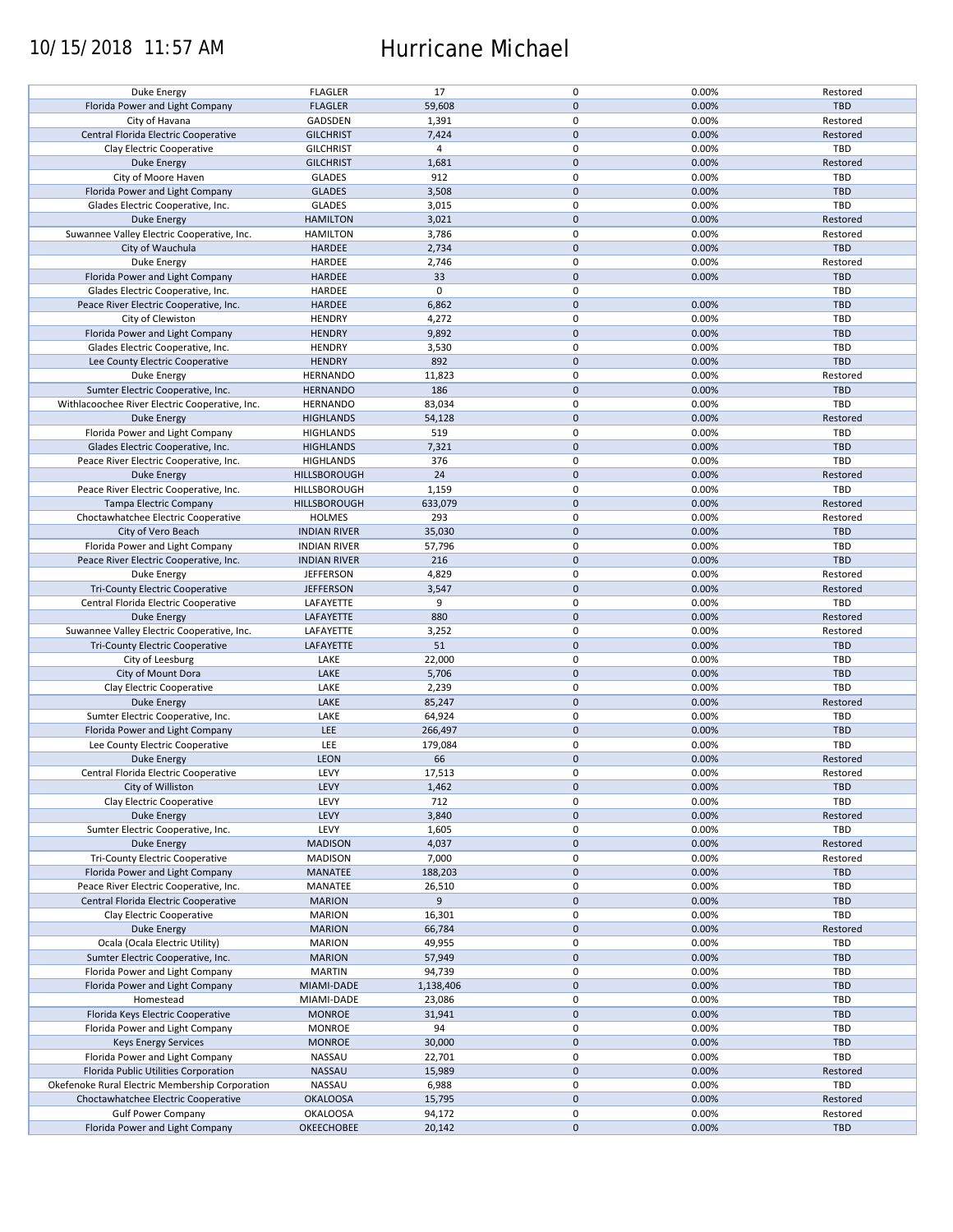## 10/15/2018 11:57 AM Hurricane Michael

| Duke Energy                                                  | <b>FLAGLER</b>                       | 17               | $\pmb{0}$                        | 0.00%          | Restored               |
|--------------------------------------------------------------|--------------------------------------|------------------|----------------------------------|----------------|------------------------|
| Florida Power and Light Company                              | <b>FLAGLER</b>                       | 59,608           | $\mathbf{0}$                     | 0.00%          | <b>TBD</b>             |
| City of Havana                                               | GADSDEN                              | 1,391            | 0                                | 0.00%          | Restored               |
|                                                              |                                      |                  |                                  |                |                        |
| Central Florida Electric Cooperative                         | <b>GILCHRIST</b>                     | 7,424            | $\mathbf 0$                      | 0.00%          | Restored               |
| Clay Electric Cooperative                                    | <b>GILCHRIST</b>                     | $\overline{4}$   | $\pmb{0}$                        | 0.00%          | <b>TBD</b>             |
| Duke Energy                                                  | <b>GILCHRIST</b>                     | 1,681            | $\mathbf 0$                      | 0.00%          | Restored               |
|                                                              |                                      |                  |                                  |                |                        |
| City of Moore Haven                                          | <b>GLADES</b>                        | 912              | $\pmb{0}$                        | 0.00%          | <b>TBD</b>             |
| Florida Power and Light Company                              | <b>GLADES</b>                        | 3,508            | $\mathbf 0$                      | 0.00%          | <b>TBD</b>             |
| Glades Electric Cooperative, Inc.                            | <b>GLADES</b>                        | 3,015            | $\pmb{0}$                        | 0.00%          | TBD                    |
|                                                              |                                      |                  |                                  |                |                        |
| Duke Energy                                                  | <b>HAMILTON</b>                      | 3,021            | $\mathbf 0$                      | 0.00%          | Restored               |
| Suwannee Valley Electric Cooperative, Inc.                   | <b>HAMILTON</b>                      | 3,786            | 0                                | 0.00%          | Restored               |
| City of Wauchula                                             | <b>HARDEE</b>                        | 2,734            | $\mathbf{0}$                     | 0.00%          | TBD                    |
|                                                              | HARDEE                               |                  | $\mathbf 0$                      | 0.00%          |                        |
| Duke Energy                                                  |                                      | 2,746            |                                  |                | Restored               |
| Florida Power and Light Company                              | <b>HARDEE</b>                        | 33               | $\mathbf 0$                      | 0.00%          | <b>TBD</b>             |
| Glades Electric Cooperative, Inc.                            | HARDEE                               | $\mathbf 0$      | $\pmb{0}$                        |                | TBD                    |
| Peace River Electric Cooperative, Inc.                       | <b>HARDEE</b>                        | 6,862            | $\mathbf 0$                      | 0.00%          | <b>TBD</b>             |
|                                                              |                                      |                  |                                  |                |                        |
| City of Clewiston                                            | <b>HENDRY</b>                        | 4,272            | $\pmb{0}$                        | 0.00%          | TBD                    |
| Florida Power and Light Company                              | <b>HENDRY</b>                        | 9,892            | $\mathbf 0$                      | 0.00%          | <b>TBD</b>             |
| Glades Electric Cooperative, Inc.                            | <b>HENDRY</b>                        | 3,530            | $\pmb{0}$                        | 0.00%          | <b>TBD</b>             |
|                                                              |                                      |                  |                                  |                |                        |
| Lee County Electric Cooperative                              | <b>HENDRY</b>                        | 892              | $\mathbf 0$                      | 0.00%          | <b>TBD</b>             |
| Duke Energy                                                  | <b>HERNANDO</b>                      | 11,823           | $\mathbf 0$                      | 0.00%          | Restored               |
| Sumter Electric Cooperative, Inc.                            | <b>HERNANDO</b>                      | 186              | $\mathbf 0$                      | 0.00%          | <b>TBD</b>             |
|                                                              |                                      |                  |                                  |                |                        |
| Withlacoochee River Electric Cooperative, Inc.               | <b>HERNANDO</b>                      | 83,034           | $\mathbf 0$                      | 0.00%          | <b>TBD</b>             |
| <b>Duke Energy</b>                                           | <b>HIGHLANDS</b>                     | 54,128           | $\mathbf 0$                      | 0.00%          | Restored               |
| Florida Power and Light Company                              | <b>HIGHLANDS</b>                     | 519              | $\mathbf 0$                      | 0.00%          | TBD                    |
|                                                              |                                      |                  |                                  |                |                        |
| Glades Electric Cooperative, Inc.                            | <b>HIGHLANDS</b>                     | 7,321            | $\mathbf 0$                      | 0.00%          | <b>TBD</b>             |
| Peace River Electric Cooperative, Inc.                       | <b>HIGHLANDS</b>                     | 376              | 0                                | 0.00%          | TBD                    |
| <b>Duke Energy</b>                                           | HILLSBOROUGH                         | 24               | $\mathbf 0$                      | 0.00%          | Restored               |
|                                                              |                                      |                  |                                  |                |                        |
| Peace River Electric Cooperative, Inc.                       | HILLSBOROUGH                         | 1,159            | $\pmb{0}$                        | 0.00%          | <b>TBD</b>             |
| Tampa Electric Company                                       | HILLSBOROUGH                         | 633,079          | $\mathbf 0$                      | 0.00%          | Restored               |
| Choctawhatchee Electric Cooperative                          | <b>HOLMES</b>                        | 293              | $\pmb{0}$                        | 0.00%          | Restored               |
|                                                              |                                      |                  |                                  |                |                        |
| City of Vero Beach                                           | <b>INDIAN RIVER</b>                  | 35,030           | $\mathbf 0$                      | 0.00%          | <b>TBD</b>             |
| Florida Power and Light Company                              | <b>INDIAN RIVER</b>                  | 57,796           | 0                                | 0.00%          | TBD                    |
| Peace River Electric Cooperative, Inc.                       | <b>INDIAN RIVER</b>                  | 216              | $\mathbf 0$                      | 0.00%          | <b>TBD</b>             |
|                                                              |                                      |                  |                                  |                |                        |
| Duke Energy                                                  | <b>JEFFERSON</b>                     | 4,829            | 0                                | 0.00%          | Restored               |
| <b>Tri-County Electric Cooperative</b>                       | <b>JEFFERSON</b>                     | 3,547            | $\mathbf 0$                      | 0.00%          | Restored               |
|                                                              |                                      |                  | $\pmb{0}$                        | 0.00%          | TBD                    |
|                                                              |                                      |                  |                                  |                |                        |
| Central Florida Electric Cooperative                         | LAFAYETTE                            | 9                |                                  |                |                        |
| <b>Duke Energy</b>                                           | LAFAYETTE                            | 880              | $\mathbf 0$                      | 0.00%          | Restored               |
| Suwannee Valley Electric Cooperative, Inc.                   | LAFAYETTE                            | 3,252            | $\pmb{0}$                        | 0.00%          | Restored               |
|                                                              |                                      |                  |                                  |                |                        |
| <b>Tri-County Electric Cooperative</b>                       | LAFAYETTE                            | 51               | $\mathbf 0$                      | 0.00%          | <b>TBD</b>             |
| City of Leesburg                                             | LAKE                                 | 22,000           | $\pmb{0}$                        | 0.00%          | TBD                    |
| City of Mount Dora                                           | LAKE                                 | 5,706            | $\mathbf{0}$                     | 0.00%          | <b>TBD</b>             |
|                                                              |                                      |                  |                                  |                |                        |
| Clay Electric Cooperative                                    | LAKE                                 | 2,239            | $\pmb{0}$                        | 0.00%          | <b>TBD</b>             |
| <b>Duke Energy</b>                                           | LAKE                                 | 85,247           | $\mathbf{0}$                     | 0.00%          | Restored               |
|                                                              | LAKE                                 | 64,924           | $\pmb{0}$                        | 0.00%          | <b>TBD</b>             |
| Sumter Electric Cooperative, Inc.                            |                                      |                  |                                  |                |                        |
| Florida Power and Light Company                              | LEE                                  | 266,497          | $\mathbf 0$                      | 0.00%          | <b>TBD</b>             |
| Lee County Electric Cooperative                              | LEE                                  | 179,084          | $\pmb{0}$                        | 0.00%          | <b>TBD</b>             |
|                                                              | <b>LEON</b>                          | 66               | $\mathbf 0$                      | 0.00%          | Restored               |
| Duke Energy                                                  |                                      |                  |                                  |                |                        |
| Central Florida Electric Cooperative                         | LEVY                                 | 17,513           | $\mathbf 0$                      | 0.00%          | Restored               |
| City of Williston                                            | LEVY                                 | 1,462            | $\mathbf 0$                      | 0.00%          | <b>TBD</b>             |
| Clay Electric Cooperative                                    | LEVY                                 | 712              | 0                                | 0.00%          | TBD                    |
|                                                              |                                      |                  |                                  |                |                        |
| Duke Energy                                                  | LEVY                                 | 3,840            | $\mathbf 0$                      | 0.00%          | Restored               |
| Sumter Electric Cooperative, Inc.                            | LEVY                                 | 1,605            | 0                                | 0.00%          | TBD                    |
| Duke Energy                                                  | <b>MADISON</b>                       | 4,037            | $\mathbf 0$                      | 0.00%          | Restored               |
|                                                              |                                      |                  |                                  |                |                        |
| <b>Tri-County Electric Cooperative</b>                       | <b>MADISON</b>                       | 7,000            | 0                                | 0.00%          | Restored               |
| Florida Power and Light Company                              | MANATEE                              | 188,203          | $\mathbf 0$                      | 0.00%          | <b>TBD</b>             |
| Peace River Electric Cooperative, Inc.                       | MANATEE                              | 26,510           | 0                                | 0.00%          | TBD                    |
|                                                              |                                      |                  |                                  |                |                        |
| Central Florida Electric Cooperative                         | <b>MARION</b>                        | 9                | $\pmb{0}$                        | 0.00%          | <b>TBD</b>             |
| Clay Electric Cooperative                                    | <b>MARION</b>                        | 16,301           | 0                                | 0.00%          | TBD                    |
| Duke Energy                                                  | <b>MARION</b>                        | 66,784           | $\mathbf 0$                      | 0.00%          | Restored               |
|                                                              |                                      |                  |                                  |                |                        |
| Ocala (Ocala Electric Utility)                               | <b>MARION</b>                        | 49,955           | $\pmb{0}$                        | 0.00%          | TBD                    |
| Sumter Electric Cooperative, Inc.                            | <b>MARION</b>                        | 57,949           | $\mathbf 0$                      | 0.00%          | <b>TBD</b>             |
| Florida Power and Light Company                              | <b>MARTIN</b>                        | 94,739           | $\pmb{0}$                        | 0.00%          | <b>TBD</b>             |
|                                                              |                                      |                  |                                  |                |                        |
| Florida Power and Light Company                              | MIAMI-DADE                           | 1,138,406        | $\pmb{0}$                        | 0.00%          | <b>TBD</b>             |
| Homestead                                                    | MIAMI-DADE                           | 23,086           | $\pmb{0}$                        | 0.00%          | <b>TBD</b>             |
| Florida Keys Electric Cooperative                            | <b>MONROE</b>                        | 31,941           | $\mathbf 0$                      | 0.00%          | <b>TBD</b>             |
|                                                              |                                      |                  |                                  |                |                        |
| Florida Power and Light Company                              | <b>MONROE</b>                        | 94               | $\pmb{0}$                        | 0.00%          | <b>TBD</b>             |
| <b>Keys Energy Services</b>                                  | <b>MONROE</b>                        | 30,000           | $\mathbf 0$                      | 0.00%          | TBD                    |
| Florida Power and Light Company                              | NASSAU                               | 22,701           | $\pmb{0}$                        | 0.00%          | TBD                    |
|                                                              |                                      |                  |                                  |                |                        |
| Florida Public Utilities Corporation                         | NASSAU                               | 15,989           | $\pmb{0}$                        | 0.00%          | Restored               |
| Okefenoke Rural Electric Membership Corporation              | NASSAU                               | 6,988            | $\pmb{0}$                        | 0.00%          | TBD                    |
| Choctawhatchee Electric Cooperative                          | <b>OKALOOSA</b>                      | 15,795           | $\pmb{0}$                        | 0.00%          | Restored               |
|                                                              |                                      |                  |                                  |                |                        |
| <b>Gulf Power Company</b><br>Florida Power and Light Company | <b>OKALOOSA</b><br><b>OKEECHOBEE</b> | 94,172<br>20,142 | $\pmb{0}$<br>$\mathsf{O}\xspace$ | 0.00%<br>0.00% | Restored<br><b>TBD</b> |